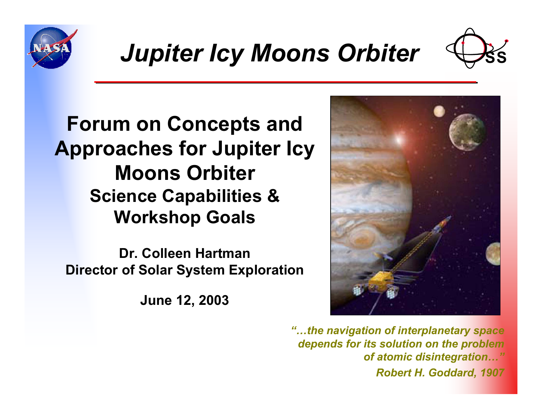



## **Forum on Concepts and Approaches for Jupiter Icy Moons OrbiterScience Capabilities & Workshop Goals**

**Dr. Colleen HartmanDirector of Solar System Exploration**

**June 12, 2003**



*"…the navigation of interplanetary space depends for its solution on the problem of atomic disintegration…" Robert H. Goddard, 1907*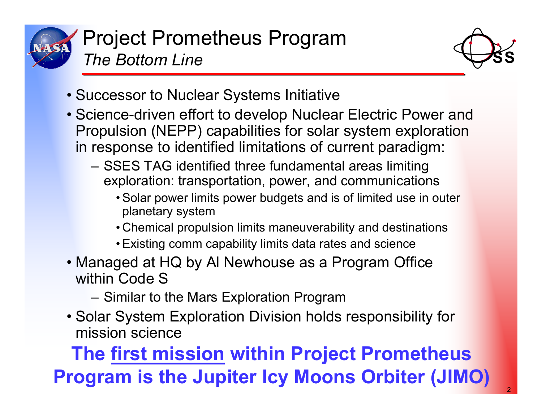



- Successor to Nuclear Systems Initiative
- Science-driven effort to develop Nuclear Electric Power and Propulsion (NEPP) capabilities for solar system exploration in response to identified limitations of current paradigm:
	- SSES TAG identified three fundamental areas limiting exploration: transportation, power, and communications
		- Solar power limits power budgets and is of limited use in outer planetary system
		- Chemical propulsion limits maneuverability and destinations
		- Existing comm capability limits data rates and science
- Managed at HQ by Al Newhouse as a Program Office within Code S
	- Similar to the Mars Exploration Program
- Solar System Exploration Division holds responsibility for mission science

# **The first mission within Project Prometheus Program is the Jupiter Icy Moons Orbiter (JIMO)**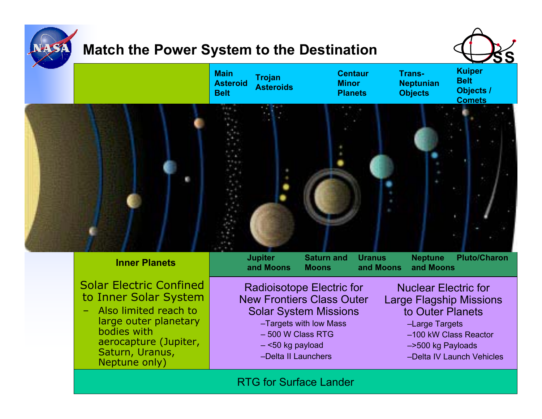

### **Match the Power System to the Destination**





Solar Electric Confinedto Inner Solar System

 Also limited reach to large outer planetary bodies with aerocapture (Jupiter, Saturn, Uranus, Neptune only)

Radioisotope Electric for New Frontiers Class Outer Solar System Missions

- –Targets with low Mass
- 500 W Class RTG
- <50 kg payload
- –Delta II Launchers

Nuclear Electric for Large Flagship Missions to Outer Planets

- –Large Targets
- –100 kW Class Reactor
- –>500 kg Payloads
- –Delta IV Launch Vehicles

#### RTG for Surface Lander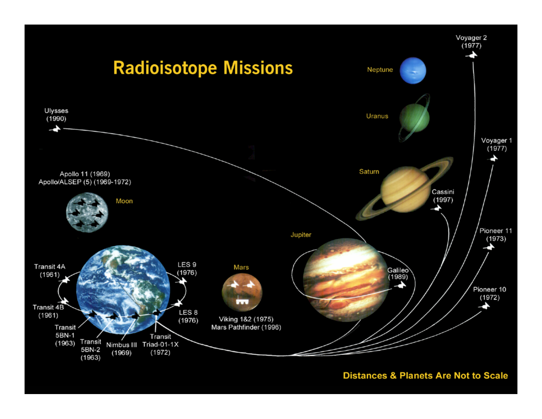

#### **Distances & Planets Are Not to Scale**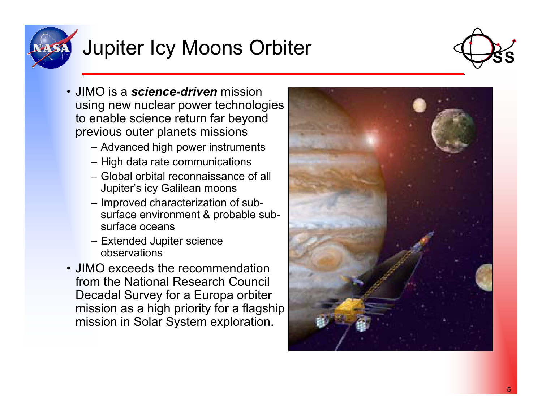

# Jupiter Icy Moons Orbiter



- JIMO is a *science-driven* mission using new nuclear power technologies to enable science return far beyond previous outer planets missions
	- Advanced high power instruments
	- High data rate communications
	- Global orbital reconnaissance of all Jupiter's icy Galilean moons
	- Improved characterization of subsurface environment & probable subsurface oceans
	- Extended Jupiter science observations
- JIMO exceeds the recommendation from the National Research Council Decadal Survey for a Europa orbiter mission as a high priority for a flagship mission in Solar System exploration.

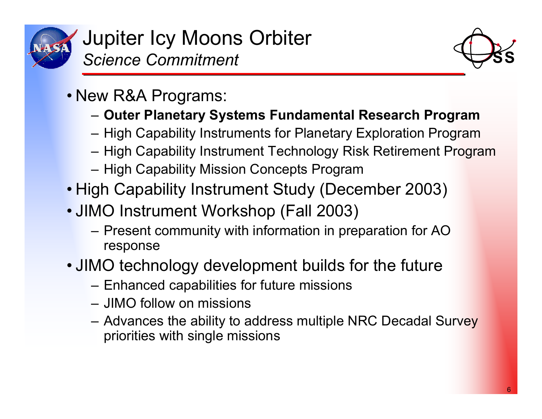



- New R&A Programs:
	- **Outer Planetary Systems Fundamental Research Program**
	- High Capability Instruments for Planetary Exploration Program
	- High Capability Instrument Technology Risk Retirement Program
	- High Capability Mission Concepts Program
- High Capability Instrument Study (December 2003)
- JIMO Instrument Workshop (Fall 2003)
	- Present community with information in preparation for AO response
- JIMO technology development builds for the future
	- Enhanced capabilities for future missions
	- JIMO follow on missions
	- Advances the ability to address multiple NRC Decadal Survey priorities with single missions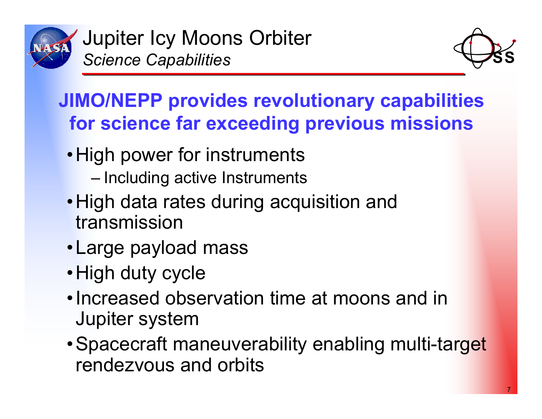



## **JIMO/NEPP provides revolutionary capabilities for science far exceeding previous missions**

- High power for instruments
	- Including active Instruments
- •High data rates during acquisition and transmission
- •Large payload mass
- High duty cycle
- Increased observation time at moons and in Jupiter system
- Spacecraft maneuverability enabling multi-target rendezvous and orbits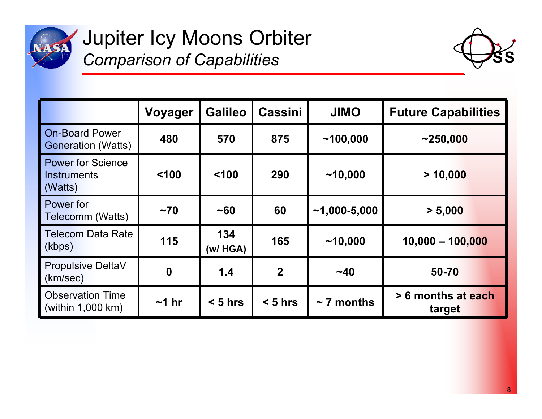

Jupiter Icy Moons Orbiter *Comparison of Capabilities*



|                                                           | <b>Voyager</b>   | <b>Galileo</b>   | <b>Cassini</b> | <b>JIMO</b>      | <b>Future Capabilities</b>   |
|-----------------------------------------------------------|------------------|------------------|----------------|------------------|------------------------------|
| <b>On-Board Power</b><br><b>Generation (Watts)</b>        | 480              | 570              | 875            | ~100,000         | ~1250,000                    |
| <b>Power for Science</b><br><b>Instruments</b><br>(Watts) | 100              | < 100            | 290            | ~10,000          | > 10,000                     |
| Power for<br>Telecomm (Watts)                             | ~1               | ~160             | 60             | $~1,000 - 5,000$ | > 5,000                      |
| <b>Telecom Data Rate</b><br>(kbps)                        | 115              | 134<br>(w / HGA) | 165            | ~10,000          | $10,000 - 100,000$           |
| <b>Propulsive DeltaV</b><br>(km/sec)                      | $\boldsymbol{0}$ | 1.4              | $\overline{2}$ | $~1 - 40$        | 50-70                        |
| <b>Observation Time</b><br>$\sim$ (within 1,000 km)       | $~1$ hr          | $< 5$ hrs        | $< 5$ hrs      | $\sim$ 7 months  | > 6 months at each<br>target |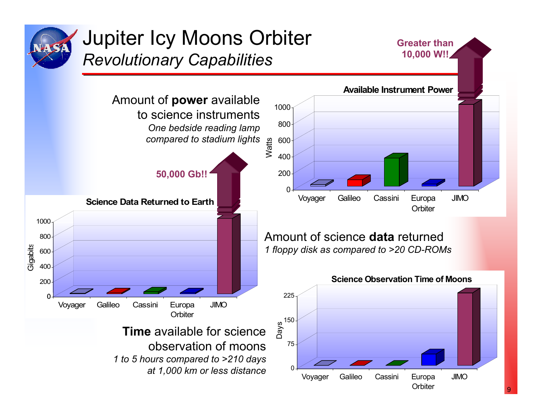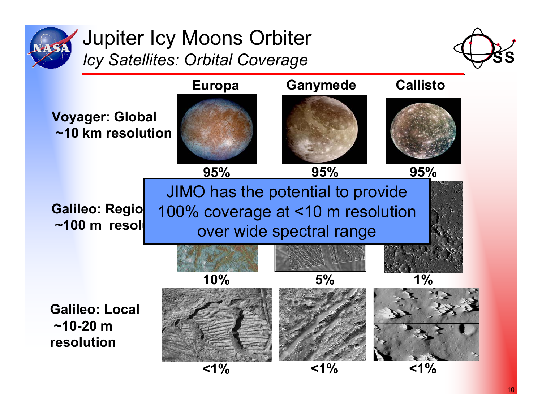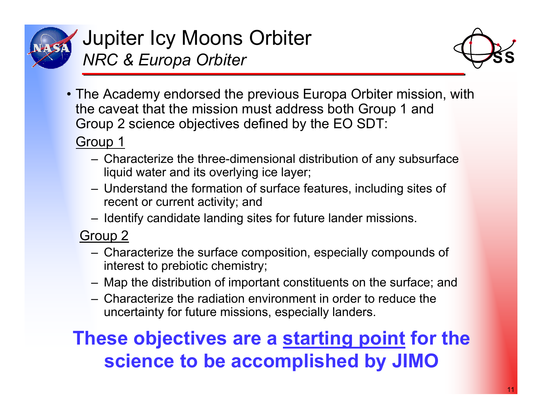

Jupiter Icy Moons Orbiter *NRC & Europa Orbiter*



• The Academy endorsed the previous Europa Orbiter mission, with the caveat that the mission must address both Group 1 and Group 2 science objectives defined by the EO SDT:

## Group 1

- Characterize the three-dimensional distribution of any subsurface liquid water and its overlying ice layer;
- Understand the formation of surface features, including sites of recent or current activity; and
- Identify candidate landing sites for future lander missions.

Group 2

- Characterize the surface composition, especially compounds of interest to prebiotic chemistry;
- Map the distribution of important constituents on the surface; and
- Characterize the radiation environment in order to reduce the uncertainty for future missions, especially landers.

## **These objectives are a starting point for the science to be accomplished by JIMO**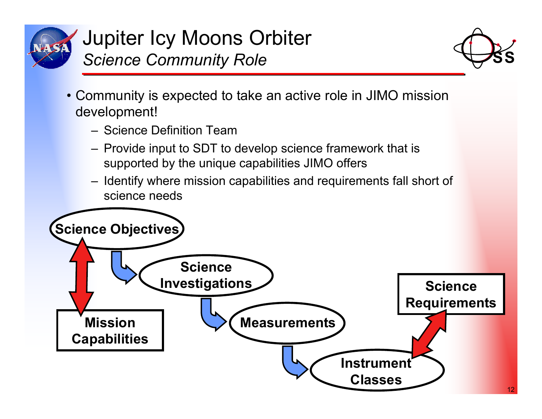

Jupiter Icy Moons Orbiter *Science Community Role*



- Community is expected to take an active role in JIMO mission development!
	- Science Definition Team
	- Provide input to SDT to develop science framework that is supported by the unique capabilities JIMO offers
	- Identify where mission capabilities and requirements fall short of science needs

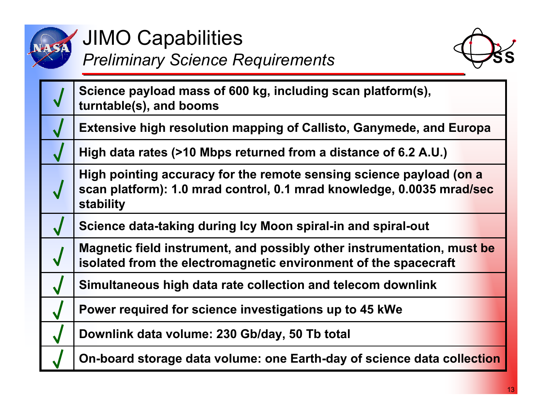

## **JIMO Capabilities** *Preliminary Science Requirements*



| Science payload mass of 600 kg, including scan platform(s),<br>turntable(s), and booms                                                                    |
|-----------------------------------------------------------------------------------------------------------------------------------------------------------|
| <b>Extensive high resolution mapping of Callisto, Ganymede, and Europa</b>                                                                                |
| High data rates (>10 Mbps returned from a distance of 6.2 A.U.)                                                                                           |
| High pointing accuracy for the remote sensing science payload (on a<br>scan platform): 1.0 mrad control, 0.1 mrad knowledge, 0.0035 mrad/sec<br>stability |
| Science data-taking during Icy Moon spiral-in and spiral-out                                                                                              |
| Magnetic field instrument, and possibly other instrumentation, must be<br>isolated from the electromagnetic environment of the spacecraft                 |
| Simultaneous high data rate collection and telecom downlink                                                                                               |
| Power required for science investigations up to 45 kWe                                                                                                    |
| Downlink data volume: 230 Gb/day, 50 Tb total                                                                                                             |
| On-board storage data volume: one Earth-day of science data collection                                                                                    |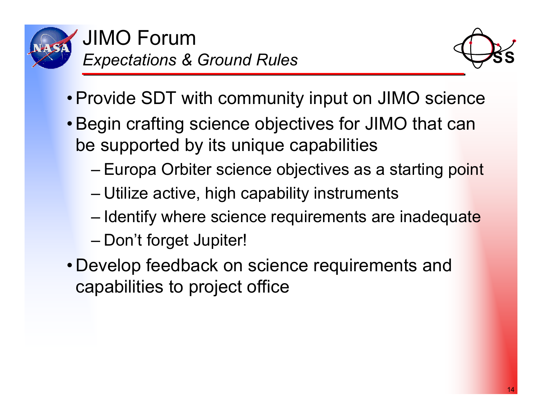



- Provide SDT with community input on JIMO science
- Begin crafting science objectives for JIMO that can be supported by its unique capabilities
	- Europa Orbiter science objectives as a starting point
	- Utilize active, high capability instruments
	- Identify where science requirements are inadequate
	- Don't forget Jupiter!
- Develop feedback on science requirements and capabilities to project office